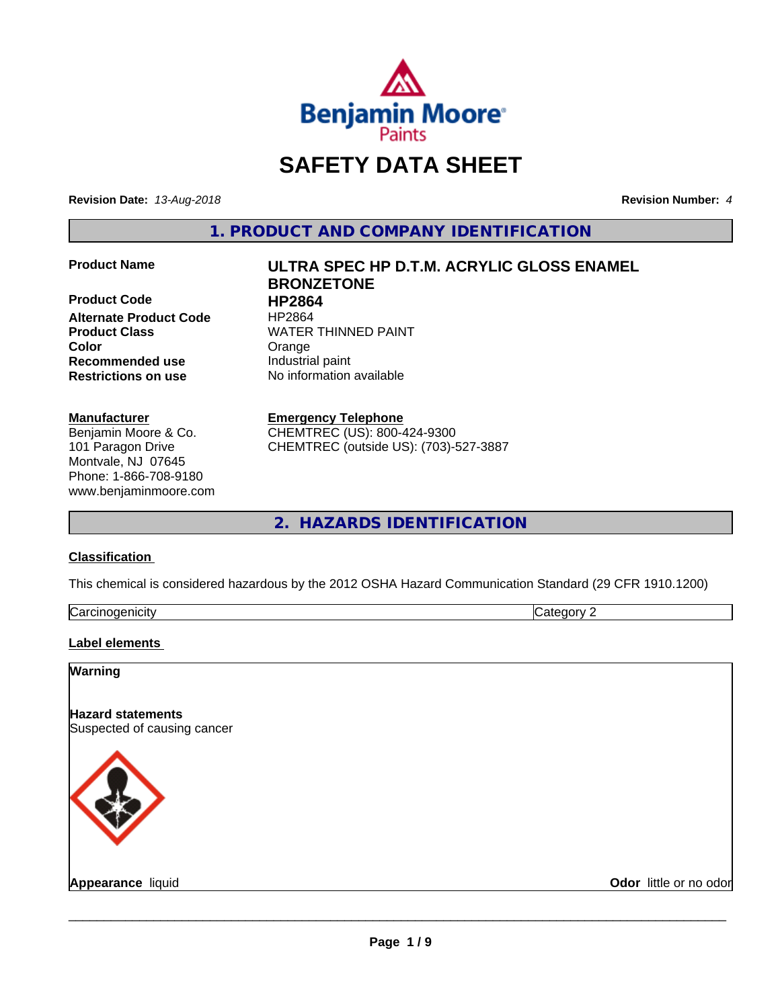

# **SAFETY DATA SHEET**

**Revision Date:** *13-Aug-2018* **Revision Number:** *4*

**1. PRODUCT AND COMPANY IDENTIFICATION**

**Product Code 
<b>HP2864**<br> **Alternate Product Code** 
HP2864 **Alternate Product Code Color** Color Crange **Recommended use** Industrial paint **Restrictions on use** No information available

#### **Manufacturer**

Benjamin Moore & Co. 101 Paragon Drive Montvale, NJ 07645 Phone: 1-866-708-9180 www.benjaminmoore.com

# **Product Name ULTRA SPEC HP D.T.M. ACRYLIC GLOSS ENAMEL BRONZETONE Product Class WATER THINNED PAINT**

#### **Emergency Telephone**

CHEMTREC (US): 800-424-9300 CHEMTREC (outside US): (703)-527-3887

# **2. HAZARDS IDENTIFICATION**

#### **Classification**

This chemical is considered hazardous by the 2012 OSHA Hazard Communication Standard (29 CFR 1910.1200)

| . .<br>. 1100<br>$\overline{a}$<br> | И |
|-------------------------------------|---|

#### **Label elements**

#### **Warning**

**Hazard statements** Suspected of causing cancer



**Appearance** liquid **Contract Contract Contract Contract Contract Contract Contract Contract Contract Contract Contract Contract Contract Contract Contract Contract Contract Contract Contract Contract Contract Contract Con**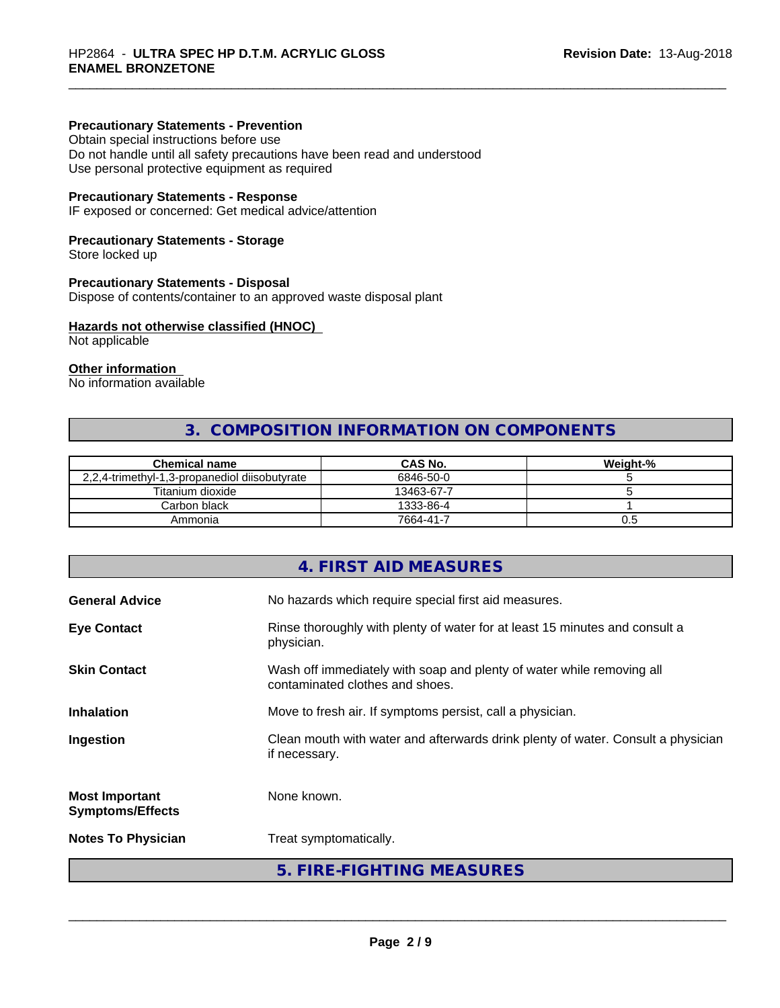#### **Precautionary Statements - Prevention**

Obtain special instructions before use Do not handle until all safety precautions have been read and understood Use personal protective equipment as required

#### **Precautionary Statements - Response**

IF exposed or concerned: Get medical advice/attention

#### **Precautionary Statements - Storage**

Store locked up

#### **Precautionary Statements - Disposal**

Dispose of contents/container to an approved waste disposal plant

#### **Hazards not otherwise classified (HNOC)**

Not applicable

### **Other information**

No information available

# **3. COMPOSITION INFORMATION ON COMPONENTS**

| <b>Chemical name</b>                          | <b>CAS No.</b> | Weight-% |
|-----------------------------------------------|----------------|----------|
| 2,2,4-trimethyl-1,3-propanediol diisobutyrate | 6846-50-0      |          |
| Titanium dioxide                              | 13463-67-7     |          |
| Carbon black                                  | 1333-86-4      |          |
| Ammonia                                       | 7664-41-7      | U.5      |

# **4. FIRST AID MEASURES General Advice** No hazards which require special first aid measures. **Eye Contact Rinse thoroughly with plenty of water for at least 15 minutes and consult a** physician. **Skin Contact** Wash off immediately with soap and plenty of water while removing all contaminated clothes and shoes. **Inhalation** Move to fresh air. If symptoms persist, call a physician. **Ingestion Example 2** Clean mouth with water and afterwards drink plenty of water. Consult a physician if necessary. **Most Important Symptoms/Effects** None known. **Notes To Physician** Treat symptomatically. **5. FIRE-FIGHTING MEASURES**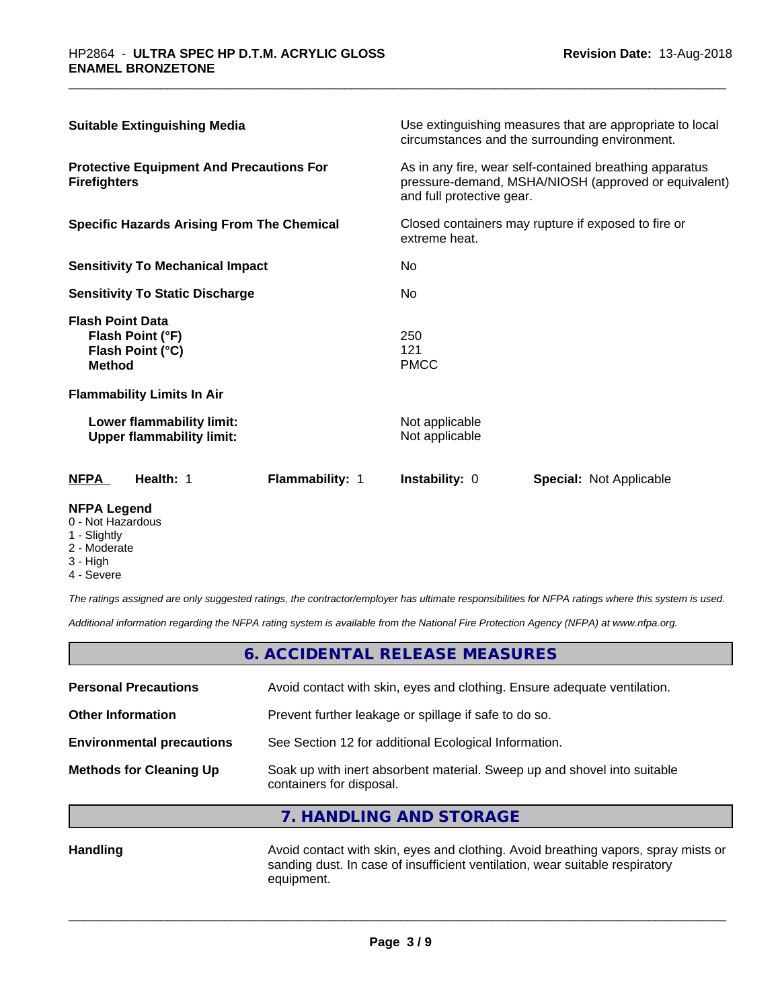| <b>Suitable Extinguishing Media</b>                                              | Use extinguishing measures that are appropriate to local<br>circumstances and the surrounding environment.                                   |  |
|----------------------------------------------------------------------------------|----------------------------------------------------------------------------------------------------------------------------------------------|--|
| <b>Protective Equipment And Precautions For</b><br><b>Firefighters</b>           | As in any fire, wear self-contained breathing apparatus<br>pressure-demand, MSHA/NIOSH (approved or equivalent)<br>and full protective gear. |  |
| <b>Specific Hazards Arising From The Chemical</b>                                | Closed containers may rupture if exposed to fire or<br>extreme heat.                                                                         |  |
| <b>Sensitivity To Mechanical Impact</b>                                          | No                                                                                                                                           |  |
| <b>Sensitivity To Static Discharge</b>                                           | No.                                                                                                                                          |  |
| <b>Flash Point Data</b><br>Flash Point (°F)<br>Flash Point (°C)<br><b>Method</b> | 250<br>121<br><b>PMCC</b>                                                                                                                    |  |
| <b>Flammability Limits In Air</b>                                                |                                                                                                                                              |  |
| Lower flammability limit:<br><b>Upper flammability limit:</b>                    | Not applicable<br>Not applicable                                                                                                             |  |
| Health: 1<br>Flammability: 1<br>NFPA                                             | <b>Instability: 0</b><br><b>Special: Not Applicable</b>                                                                                      |  |

#### **NFPA Legend**

- 0 Not Hazardous
- 1 Slightly
- 2 Moderate
- 3 High
- 4 Severe

*The ratings assigned are only suggested ratings, the contractor/employer has ultimate responsibilities for NFPA ratings where this system is used.*

*Additional information regarding the NFPA rating system is available from the National Fire Protection Agency (NFPA) at www.nfpa.org.*

|                                  | 6. ACCIDENTAL RELEASE MEASURES                                                                       |  |
|----------------------------------|------------------------------------------------------------------------------------------------------|--|
| <b>Personal Precautions</b>      | Avoid contact with skin, eyes and clothing. Ensure adequate ventilation.                             |  |
| <b>Other Information</b>         | Prevent further leakage or spillage if safe to do so.                                                |  |
| <b>Environmental precautions</b> | See Section 12 for additional Ecological Information.                                                |  |
| <b>Methods for Cleaning Up</b>   | Soak up with inert absorbent material. Sweep up and shovel into suitable<br>containers for disposal. |  |

**7. HANDLING AND STORAGE**

Handling **Handling** Avoid contact with skin, eyes and clothing. Avoid breathing vapors, spray mists or sanding dust. In case of insufficient ventilation, wear suitable respiratory equipment.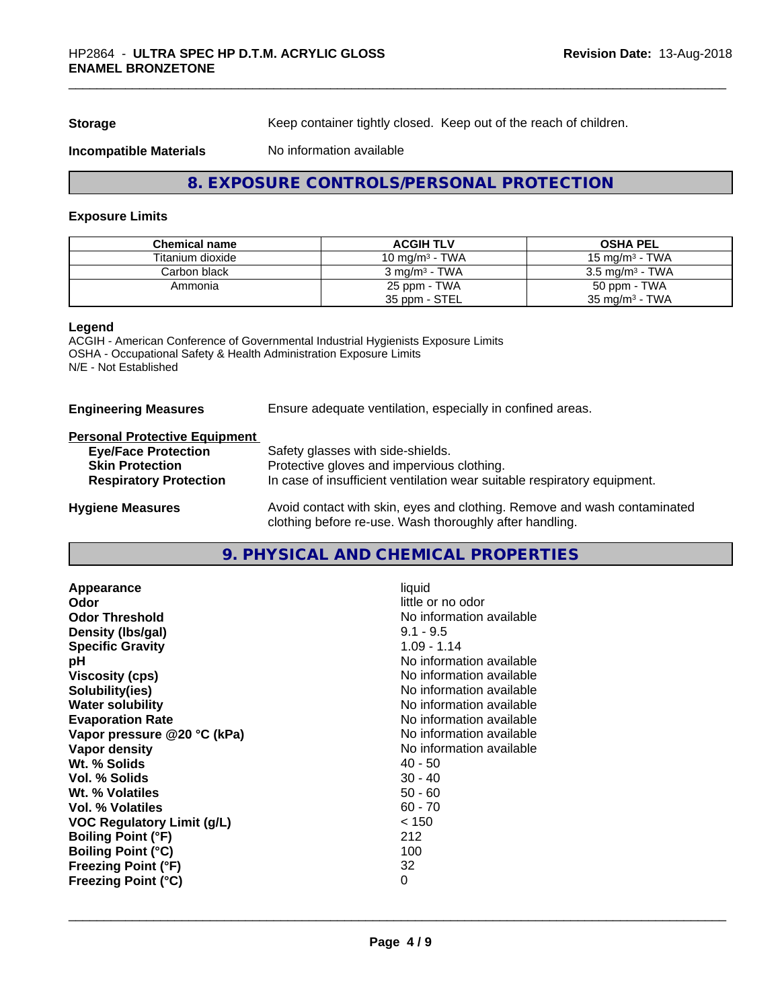**Storage** Keep container tightly closed. Keep out of the reach of children.

#### **Incompatible Materials** No information available

**8. EXPOSURE CONTROLS/PERSONAL PROTECTION**

#### **Exposure Limits**

| <b>Chemical name</b> | <b>ACGIH TLV</b>         | <b>OSHA PEL</b>            |
|----------------------|--------------------------|----------------------------|
| Titanium dioxide     | 10 mg/m $3$ - TWA        | 15 mg/m $3$ - TWA          |
| Carbon black         | $3 \text{ ma/m}^3$ - TWA | $3.5 \text{ ma/m}^3$ - TWA |
| Ammonia              | 25 ppm - TWA             | 50 ppm - TWA               |
|                      | 35 ppm - STEL            | $35 \text{ mg/m}^3$ - TWA  |

#### **Legend**

ACGIH - American Conference of Governmental Industrial Hygienists Exposure Limits OSHA - Occupational Safety & Health Administration Exposure Limits N/E - Not Established

| <b>Engineering Measures</b> | Ensure adequate ventilation, especially in confined areas. |  |
|-----------------------------|------------------------------------------------------------|--|
|                             |                                                            |  |

#### **Personal Protective Equipment**

| <b>Eye/Face Protection</b>    | Safety glasses with side-shields.                                                                                                   |
|-------------------------------|-------------------------------------------------------------------------------------------------------------------------------------|
| <b>Skin Protection</b>        | Protective gloves and impervious clothing.                                                                                          |
| <b>Respiratory Protection</b> | In case of insufficient ventilation wear suitable respiratory equipment.                                                            |
| <b>Hygiene Measures</b>       | Avoid contact with skin, eyes and clothing. Remove and wash contaminated<br>clothing before re-use. Wash thoroughly after handling. |

# **9. PHYSICAL AND CHEMICAL PROPERTIES**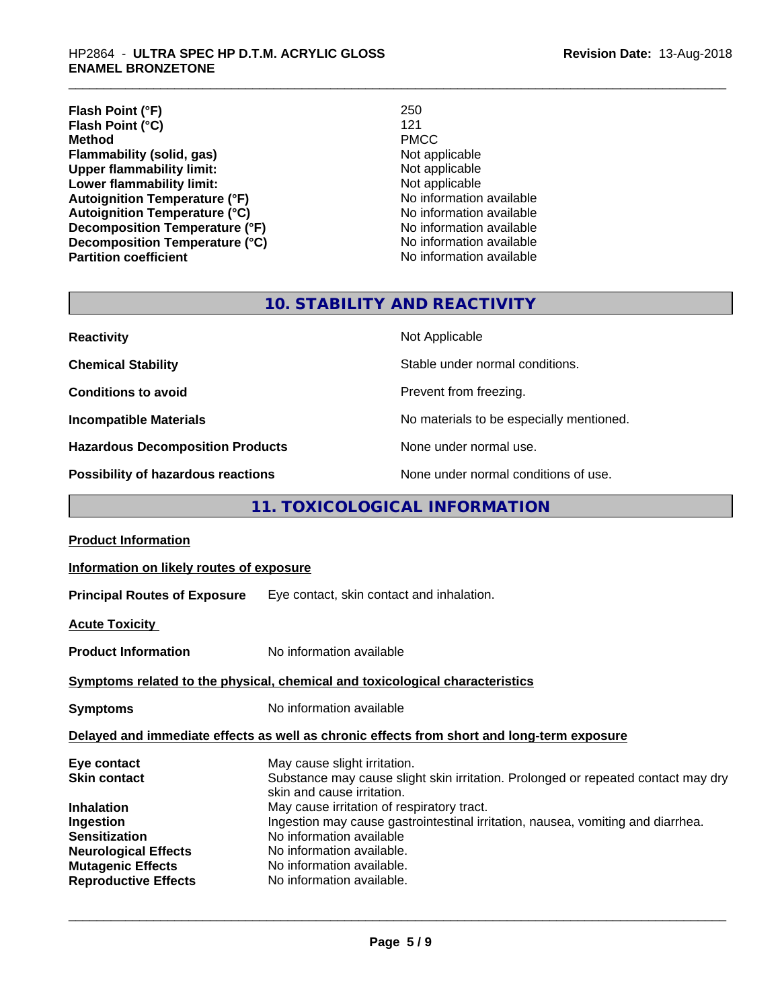**Flash Point (°F)** 250<br> **Flash Point (°C)** 21 **Flash Point (°C)** 121<br> **Method** PMCC **Method** PMCC **Flammability (solid, gas)** Not applicable Upper flammability limit:<br>
Not applicable Not applicable **Upper flammability limit:**<br> **Lower flammability limit:**<br>
Not applicable<br>
Not applicable **Lower flammability limit:**<br> **Autoignition Temperature (°F)**<br>
Mo information available **Autoignition Temperature (°F)**<br> **Autoignition Temperature (°C)** No information available **Autoignition Temperature (°C)**<br> **Decomposition Temperature (°F)** No information available **Decomposition Temperature (°F) Decomposition Temperature (°C)** No information available

**No information available** 

# **10. STABILITY AND REACTIVITY**

| <b>Reactivity</b>                       | Not Applicable                           |
|-----------------------------------------|------------------------------------------|
| <b>Chemical Stability</b>               | Stable under normal conditions.          |
| <b>Conditions to avoid</b>              | Prevent from freezing.                   |
| <b>Incompatible Materials</b>           | No materials to be especially mentioned. |
| <b>Hazardous Decomposition Products</b> | None under normal use.                   |
| Possibility of hazardous reactions      | None under normal conditions of use.     |

# **11. TOXICOLOGICAL INFORMATION**

| <b>Product Information</b>                                                                                           |                                                                                                                                                                                                    |
|----------------------------------------------------------------------------------------------------------------------|----------------------------------------------------------------------------------------------------------------------------------------------------------------------------------------------------|
| Information on likely routes of exposure                                                                             |                                                                                                                                                                                                    |
|                                                                                                                      | <b>Principal Routes of Exposure</b> Eye contact, skin contact and inhalation.                                                                                                                      |
| <b>Acute Toxicity</b>                                                                                                |                                                                                                                                                                                                    |
| <b>Product Information</b>                                                                                           | No information available                                                                                                                                                                           |
|                                                                                                                      | Symptoms related to the physical, chemical and toxicological characteristics                                                                                                                       |
| <b>Symptoms</b>                                                                                                      | No information available                                                                                                                                                                           |
|                                                                                                                      | Delayed and immediate effects as well as chronic effects from short and long-term exposure                                                                                                         |
| Eye contact<br>Skin contact<br>Inhalation                                                                            | May cause slight irritation.<br>Substance may cause slight skin irritation. Prolonged or repeated contact may dry<br>skin and cause irritation.<br>May cause irritation of respiratory tract.      |
| Ingestion<br>Sensitization<br><b>Neurological Effects</b><br><b>Mutagenic Effects</b><br><b>Reproductive Effects</b> | Ingestion may cause gastrointestinal irritation, nausea, vomiting and diarrhea.<br>No information available<br>No information available.<br>No information available.<br>No information available. |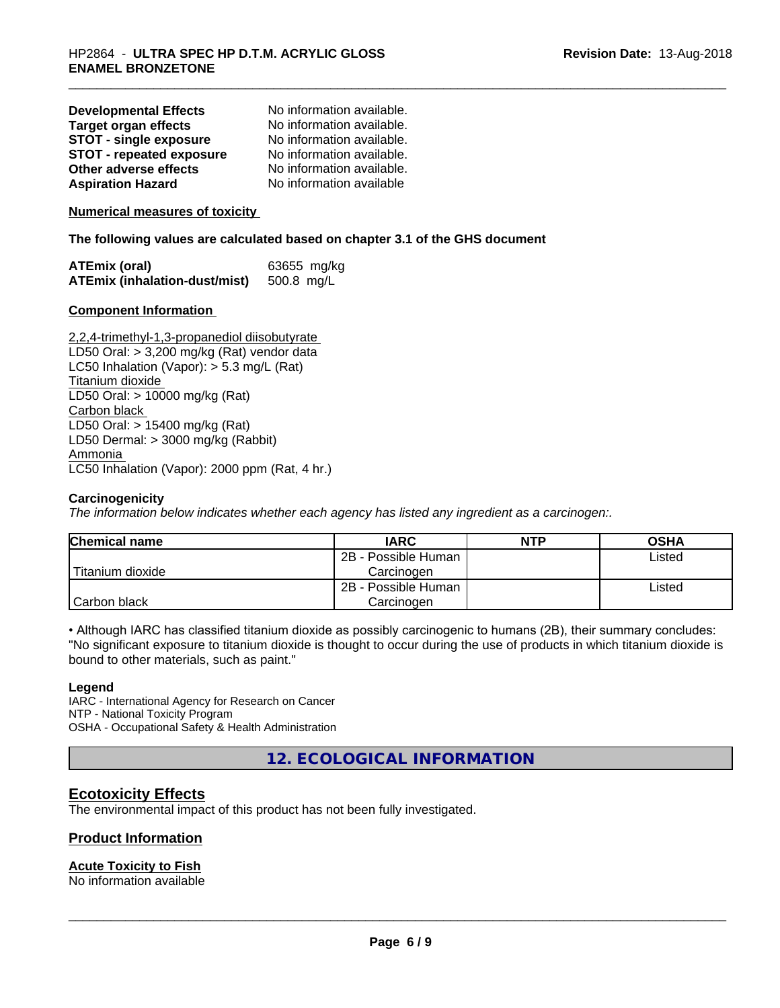| <b>Developmental Effects</b>    | No information available. |
|---------------------------------|---------------------------|
| <b>Target organ effects</b>     | No information available. |
| <b>STOT - single exposure</b>   | No information available. |
| <b>STOT - repeated exposure</b> | No information available. |
| Other adverse effects           | No information available. |
| <b>Aspiration Hazard</b>        | No information available  |

#### **Numerical measures of toxicity**

**The following values are calculated based on chapter 3.1 of the GHS document**

| ATEmix (oral)                            | 63655 mg/kg |
|------------------------------------------|-------------|
| ATEmix (inhalation-dust/mist) 500.8 mg/L |             |

#### **Component Information**

2,2,4-trimethyl-1,3-propanediol diisobutyrate LD50 Oral: > 3,200 mg/kg (Rat) vendor data LC50 Inhalation (Vapor): > 5.3 mg/L (Rat) Titanium dioxide LD50 Oral: > 10000 mg/kg (Rat) Carbon black LD50 Oral: > 15400 mg/kg (Rat) LD50 Dermal: > 3000 mg/kg (Rabbit) Ammonia LC50 Inhalation (Vapor): 2000 ppm (Rat, 4 hr.)

#### **Carcinogenicity**

*The information below indicateswhether each agency has listed any ingredient as a carcinogen:.*

| <b>Chemical name</b> | <b>IARC</b>         | <b>NTP</b> | <b>OSHA</b> |
|----------------------|---------------------|------------|-------------|
|                      | 2B - Possible Human |            | Listed      |
| Titanium dioxide     | Carcinoɑen          |            |             |
|                      | 2B - Possible Human |            | Listed      |
| Carbon black         | Carcinoɑen          |            |             |

• Although IARC has classified titanium dioxide as possibly carcinogenic to humans (2B), their summary concludes: "No significant exposure to titanium dioxide is thought to occur during the use of products in which titanium dioxide is bound to other materials, such as paint."

#### **Legend**

IARC - International Agency for Research on Cancer NTP - National Toxicity Program OSHA - Occupational Safety & Health Administration

**12. ECOLOGICAL INFORMATION**

# **Ecotoxicity Effects**

The environmental impact of this product has not been fully investigated.

#### **Product Information**

### **Acute Toxicity to Fish**

No information available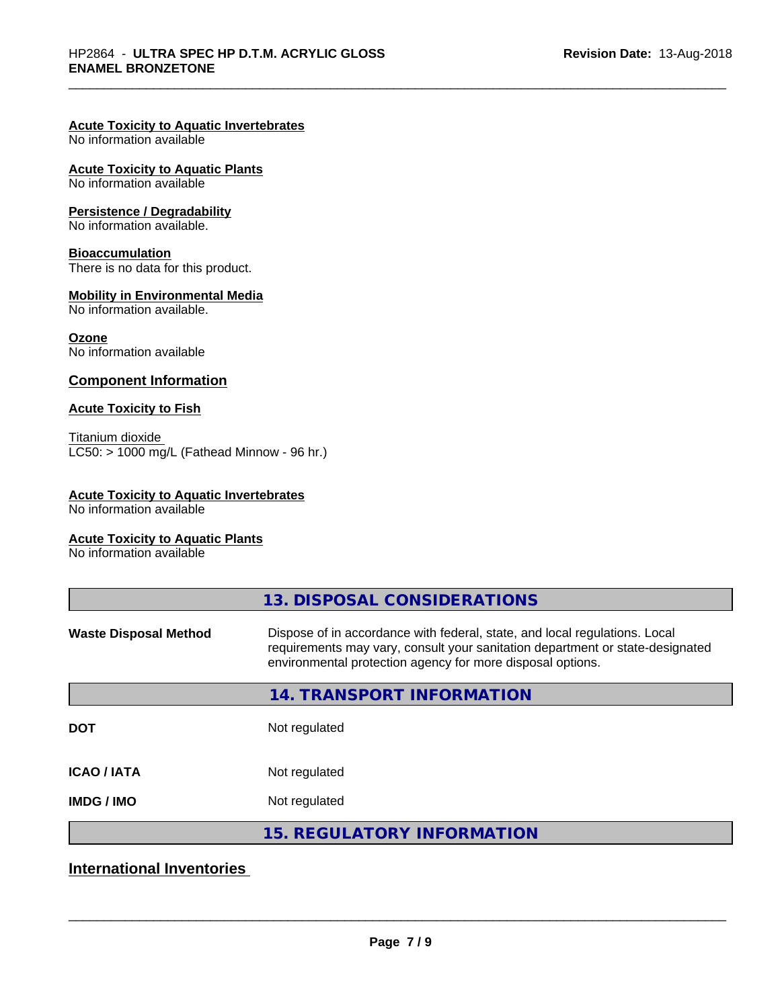#### **Acute Toxicity to Aquatic Invertebrates**

No information available

#### **Acute Toxicity to Aquatic Plants**

No information available

#### **Persistence / Degradability**

No information available.

#### **Bioaccumulation**

There is no data for this product.

#### **Mobility in Environmental Media**

No information available.

#### **Ozone**

No information available

#### **Component Information**

#### **Acute Toxicity to Fish**

Titanium dioxide  $LC50:$  > 1000 mg/L (Fathead Minnow - 96 hr.)

#### **Acute Toxicity to Aquatic Invertebrates**

No information available

### **Acute Toxicity to Aquatic Plants**

No information available

|                              | 13. DISPOSAL CONSIDERATIONS                                                                                                                                                                                               |
|------------------------------|---------------------------------------------------------------------------------------------------------------------------------------------------------------------------------------------------------------------------|
| <b>Waste Disposal Method</b> | Dispose of in accordance with federal, state, and local regulations. Local<br>requirements may vary, consult your sanitation department or state-designated<br>environmental protection agency for more disposal options. |
|                              | <b>14. TRANSPORT INFORMATION</b>                                                                                                                                                                                          |
| <b>DOT</b>                   | Not regulated                                                                                                                                                                                                             |
| <b>ICAO/IATA</b>             | Not regulated                                                                                                                                                                                                             |
| <b>IMDG/IMO</b>              | Not regulated                                                                                                                                                                                                             |
|                              | <b>15. REGULATORY INFORMATION</b>                                                                                                                                                                                         |

# **International Inventories**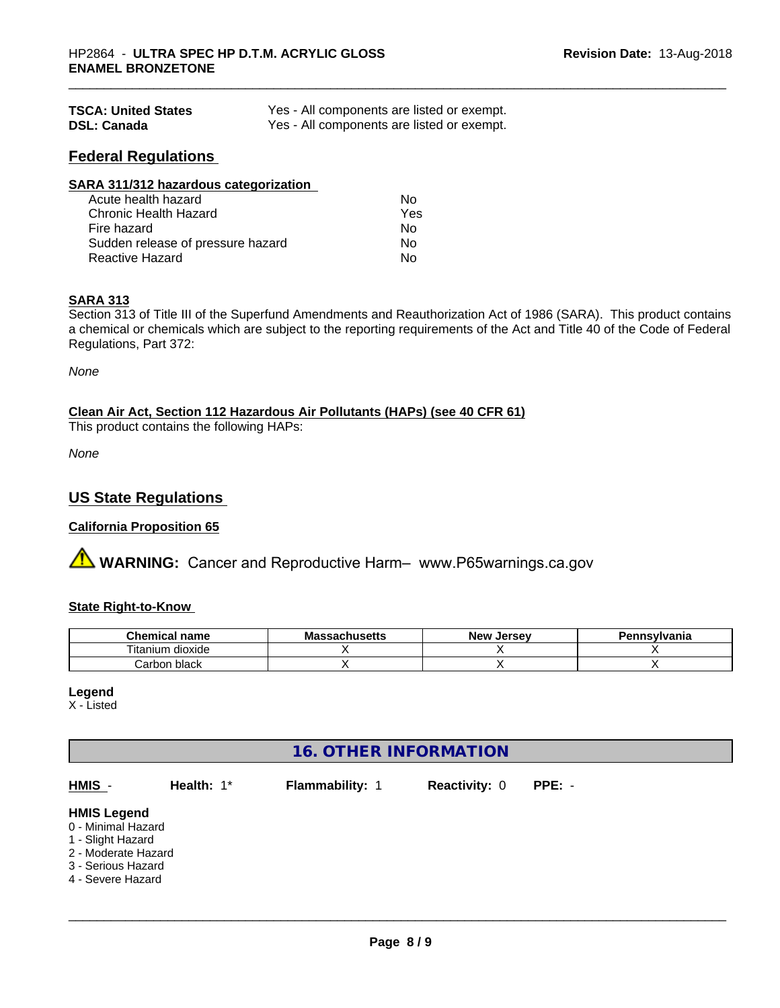| <b>TSCA: United States</b> | Yes - All components are listed or exempt. |
|----------------------------|--------------------------------------------|
| <b>DSL: Canada</b>         | Yes - All components are listed or exempt. |

## **Federal Regulations**

| SARA 311/312 hazardous categorization |     |  |
|---------------------------------------|-----|--|
| Acute health hazard                   | Nο  |  |
| Chronic Health Hazard                 | Yes |  |
| Fire hazard                           | Nο  |  |
| Sudden release of pressure hazard     | Nο  |  |
| <b>Reactive Hazard</b>                | No  |  |

#### **SARA 313**

Section 313 of Title III of the Superfund Amendments and Reauthorization Act of 1986 (SARA). This product contains a chemical or chemicals which are subject to the reporting requirements of the Act and Title 40 of the Code of Federal Regulations, Part 372:

*None*

**Clean Air Act,Section 112 Hazardous Air Pollutants (HAPs) (see 40 CFR 61)**

This product contains the following HAPs:

*None*

## **US State Regulations**

#### **California Proposition 65**

**A** WARNING: Cancer and Reproductive Harm– www.P65warnings.ca.gov

#### **State Right-to-Know**

| hemical name                         | Мi<br>saunus <del>c</del> us | ∴Jersev<br><b>Nev</b> | าทรงIvania |
|--------------------------------------|------------------------------|-----------------------|------------|
| $- \cdot$ .<br>l itanium.<br>dioxide |                              |                       |            |
| ;arbon black<br>∍dr                  |                              |                       |            |

# **Legend**

X - Listed

# **16. OTHER INFORMATION**

| <b>HMIS Legend</b><br>0 - Minimal Hazard                       | HMIS -            | Health: 1* | <b>Flammability: 1</b> | <b>Reactivity: 0</b> | $PPE: -$ |  |
|----------------------------------------------------------------|-------------------|------------|------------------------|----------------------|----------|--|
| 2 - Moderate Hazard<br>3 - Serious Hazard<br>4 - Severe Hazard | 1 - Slight Hazard |            |                        |                      |          |  |